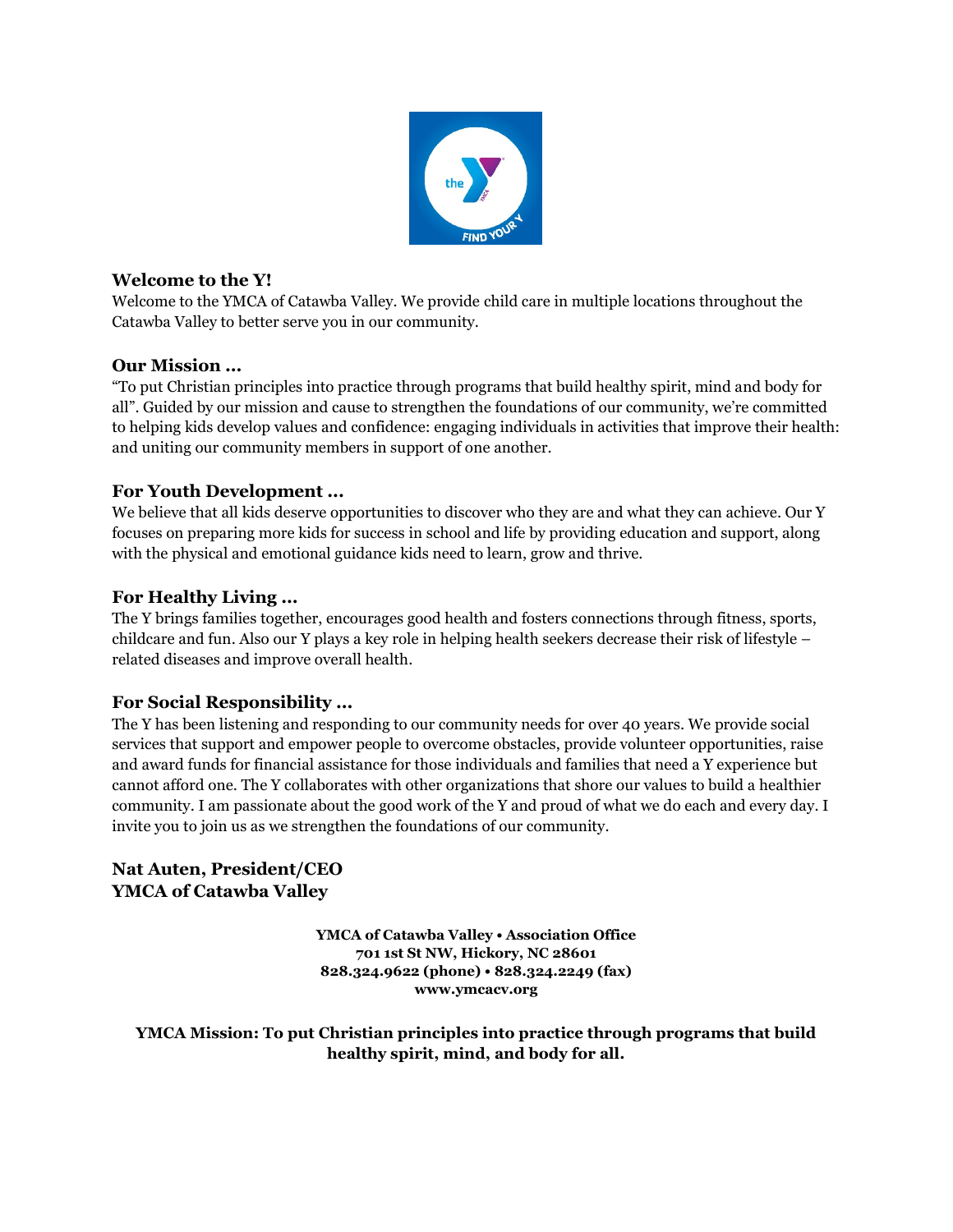

#### **Welcome to the Y!**

Welcome to the YMCA of Catawba Valley. We provide child care in multiple locations throughout the Catawba Valley to better serve you in our community.

#### **Our Mission ...**

"To put Christian principles into practice through programs that build healthy spirit, mind and body for all". Guided by our mission and cause to strengthen the foundations of our community, we're committed to helping kids develop values and confidence: engaging individuals in activities that improve their health: and uniting our community members in support of one another.

### **For Youth Development ...**

We believe that all kids deserve opportunities to discover who they are and what they can achieve. Our Y focuses on preparing more kids for success in school and life by providing education and support, along with the physical and emotional guidance kids need to learn, grow and thrive.

#### **For Healthy Living ...**

The Y brings families together, encourages good health and fosters connections through fitness, sports, childcare and fun. Also our Y plays a key role in helping health seekers decrease their risk of lifestyle – related diseases and improve overall health.

### **For Social Responsibility ...**

The Y has been listening and responding to our community needs for over 40 years. We provide social services that support and empower people to overcome obstacles, provide volunteer opportunities, raise and award funds for financial assistance for those individuals and families that need a Y experience but cannot afford one. The Y collaborates with other organizations that shore our values to build a healthier community. I am passionate about the good work of the Y and proud of what we do each and every day. I invite you to join us as we strengthen the foundations of our community.

### **Nat Auten, President/CEO YMCA of Catawba Valley**

**YMCA of Catawba Valley • Association Office 701 1st St NW, Hickory, NC 28601 828.324.9622 (phone) • 828.324.2249 (fax) www.ymcacv.org**

#### **YMCA Mission: To put Christian principles into practice through programs that build healthy spirit, mind, and body for all.**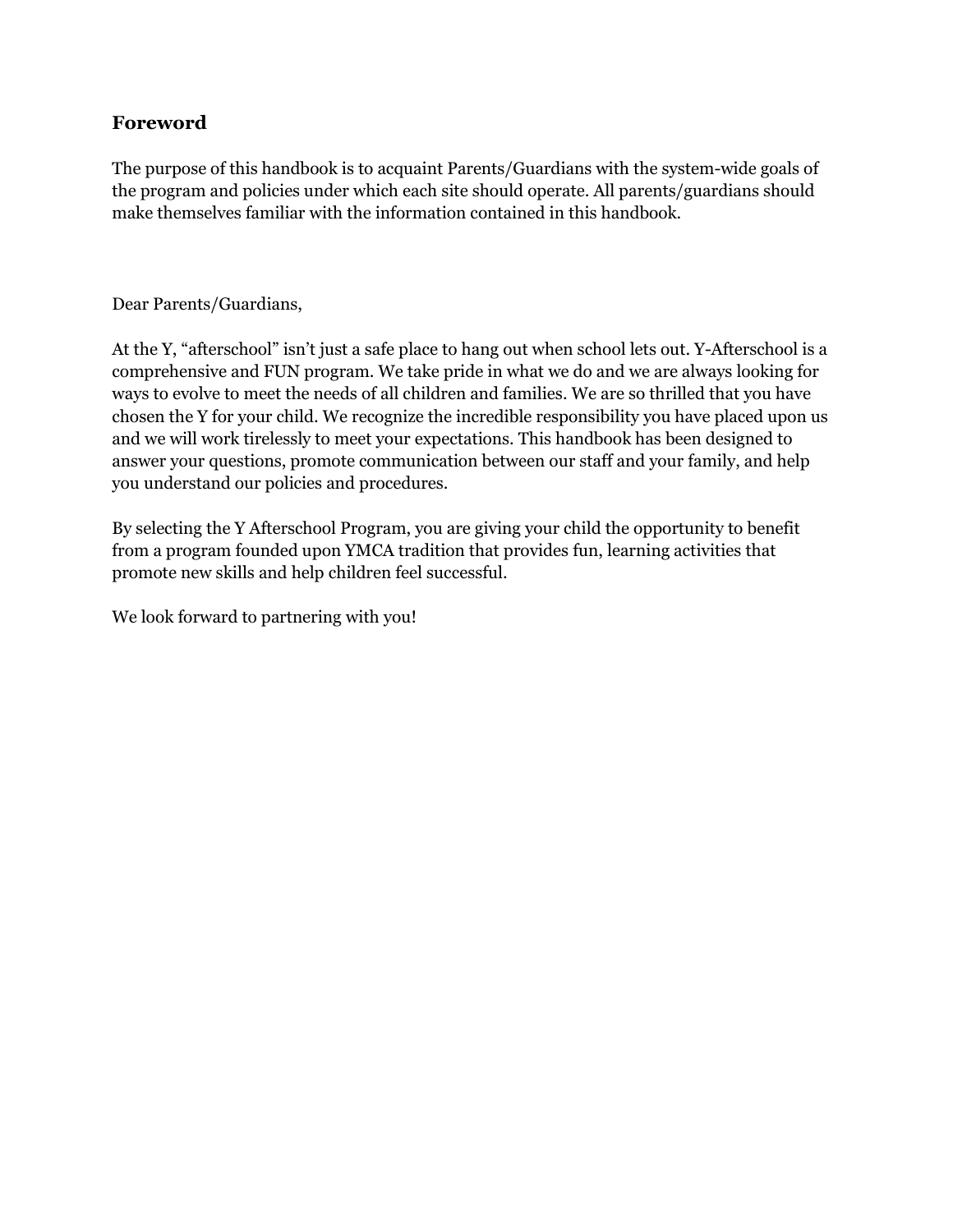### **Foreword**

The purpose of this handbook is to acquaint Parents/Guardians with the system-wide goals of the program and policies under which each site should operate. All parents/guardians should make themselves familiar with the information contained in this handbook.

#### Dear Parents/Guardians,

At the Y, "afterschool" isn't just a safe place to hang out when school lets out. Y-Afterschool is a comprehensive and FUN program. We take pride in what we do and we are always looking for ways to evolve to meet the needs of all children and families. We are so thrilled that you have chosen the Y for your child. We recognize the incredible responsibility you have placed upon us and we will work tirelessly to meet your expectations. This handbook has been designed to answer your questions, promote communication between our staff and your family, and help you understand our policies and procedures.

By selecting the Y Afterschool Program, you are giving your child the opportunity to benefit from a program founded upon YMCA tradition that provides fun, learning activities that promote new skills and help children feel successful.

We look forward to partnering with you!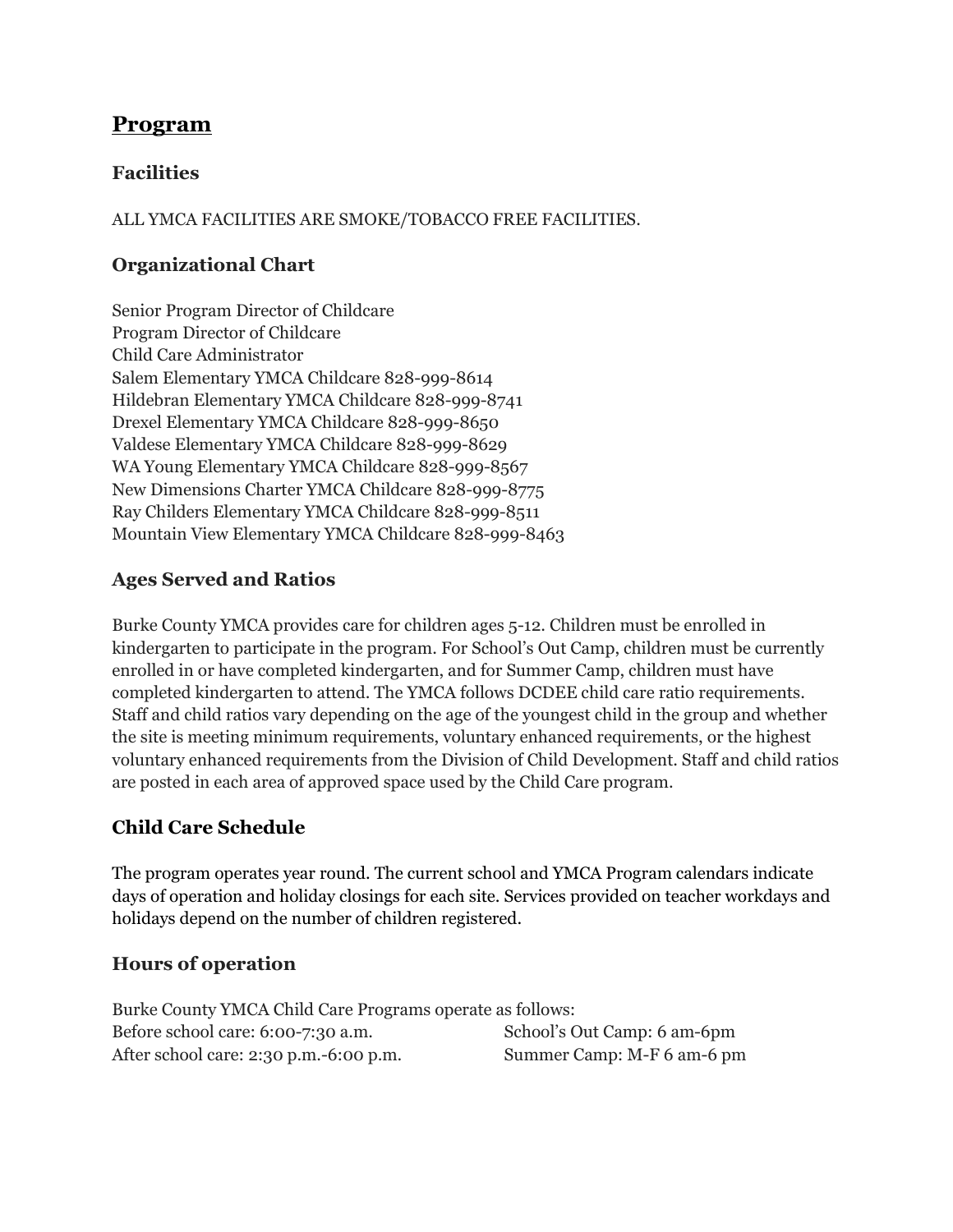# **Program**

## **Facilities**

ALL YMCA FACILITIES ARE SMOKE/TOBACCO FREE FACILITIES.

## **Organizational Chart**

Senior Program Director of Childcare Program Director of Childcare Child Care Administrator Salem Elementary YMCA Childcare 828-999-8614 Hildebran Elementary YMCA Childcare 828-999-8741 Drexel Elementary YMCA Childcare 828-999-8650 Valdese Elementary YMCA Childcare 828-999-8629 WA Young Elementary YMCA Childcare 828-999-8567 New Dimensions Charter YMCA Childcare 828-999-8775 Ray Childers Elementary YMCA Childcare 828-999-8511 Mountain View Elementary YMCA Childcare 828-999-8463

# **Ages Served and Ratios**

Burke County YMCA provides care for children ages 5-12. Children must be enrolled in kindergarten to participate in the program. For School's Out Camp, children must be currently enrolled in or have completed kindergarten, and for Summer Camp, children must have completed kindergarten to attend. The YMCA follows DCDEE child care ratio requirements. Staff and child ratios vary depending on the age of the youngest child in the group and whether the site is meeting minimum requirements, voluntary enhanced requirements, or the highest voluntary enhanced requirements from the Division of Child Development. Staff and child ratios are posted in each area of approved space used by the Child Care program.

# **Child Care Schedule**

The program operates year round. The current school and YMCA Program calendars indicate days of operation and holiday closings for each site. Services provided on teacher workdays and holidays depend on the number of children registered.

## **Hours of operation**

Burke County YMCA Child Care Programs operate as follows: Before school care: 6:00-7:30 a.m. After school care: 2:30 p.m.-6:00 p.m. School's Out Camp: 6 am-6pm Summer Camp: M-F 6 am-6 pm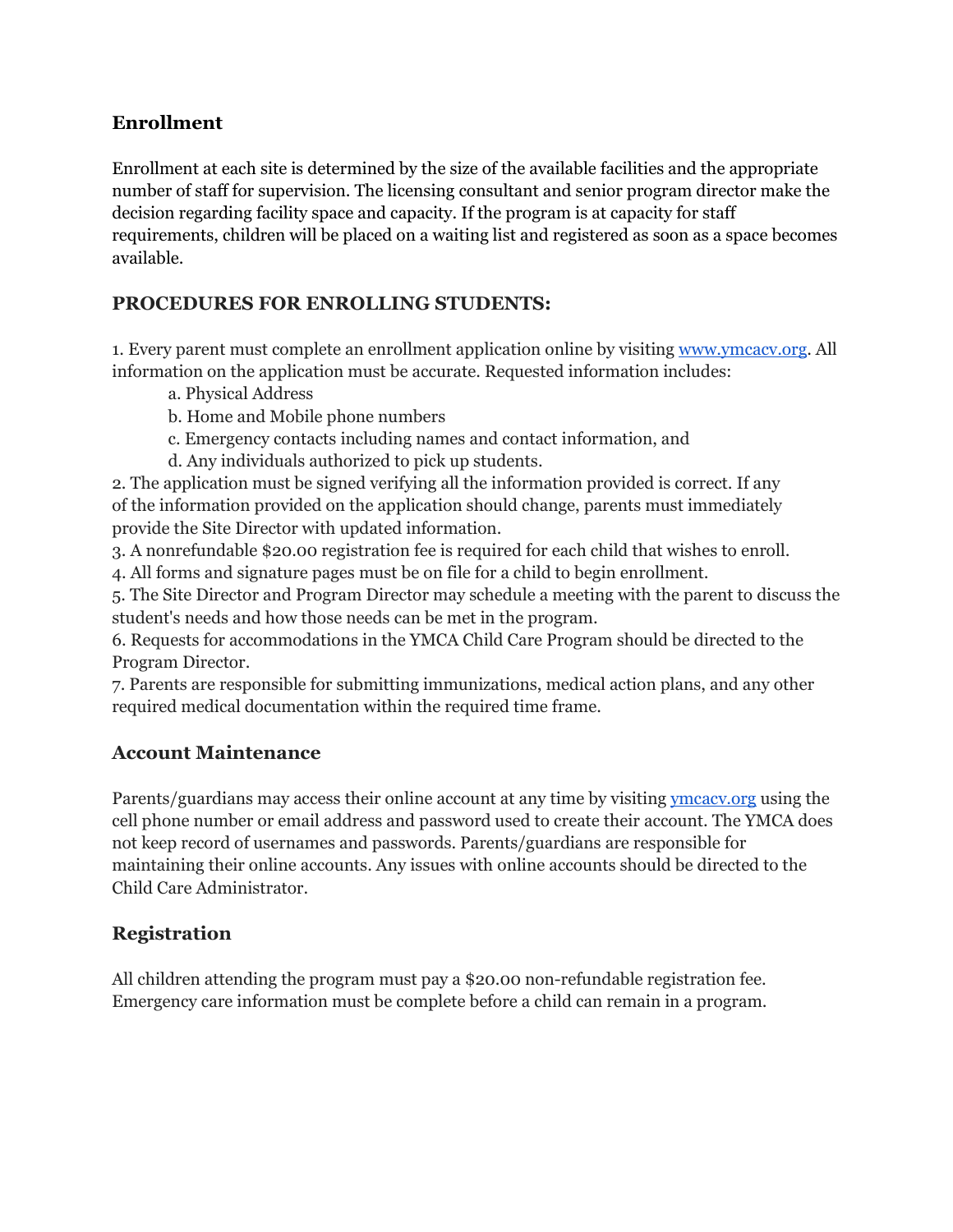### **Enrollment**

Enrollment at each site is determined by the size of the available facilities and the appropriate number of staff for supervision. The licensing consultant and senior program director make the decision regarding facility space and capacity. If the program is at capacity for staff requirements, children will be placed on a waiting list and registered as soon as a space becomes available.

## **PROCEDURES FOR ENROLLING STUDENTS:**

1. Every parent must complete an enrollment application online by visiting [www.ymcacv.org.](http://www.ymcacv.org/) All information on the application must be accurate. Requested information includes:

- a. Physical Address
- b. Home and Mobile phone numbers
- c. Emergency contacts including names and contact information, and
- d. Any individuals authorized to pick up students.

2. The application must be signed verifying all the information provided is correct. If any of the information provided on the application should change, parents must immediately provide the Site Director with updated information.

3. A nonrefundable \$20.00 registration fee is required for each child that wishes to enroll.

4. All forms and signature pages must be on file for a child to begin enrollment.

5. The Site Director and Program Director may schedule a meeting with the parent to discuss the student's needs and how those needs can be met in the program.

6. Requests for accommodations in the YMCA Child Care Program should be directed to the Program Director.

7. Parents are responsible for submitting immunizations, medical action plans, and any other required medical documentation within the required time frame.

## **Account Maintenance**

Parents/guardians may access their online account at any time by visiting *ymcacv.org* using the cell phone number or email address and password used to create their account. The YMCA does not keep record of usernames and passwords. Parents/guardians are responsible for maintaining their online accounts. Any issues with online accounts should be directed to the Child Care Administrator.

# **Registration**

All children attending the program must pay a \$20.00 non-refundable registration fee. Emergency care information must be complete before a child can remain in a program.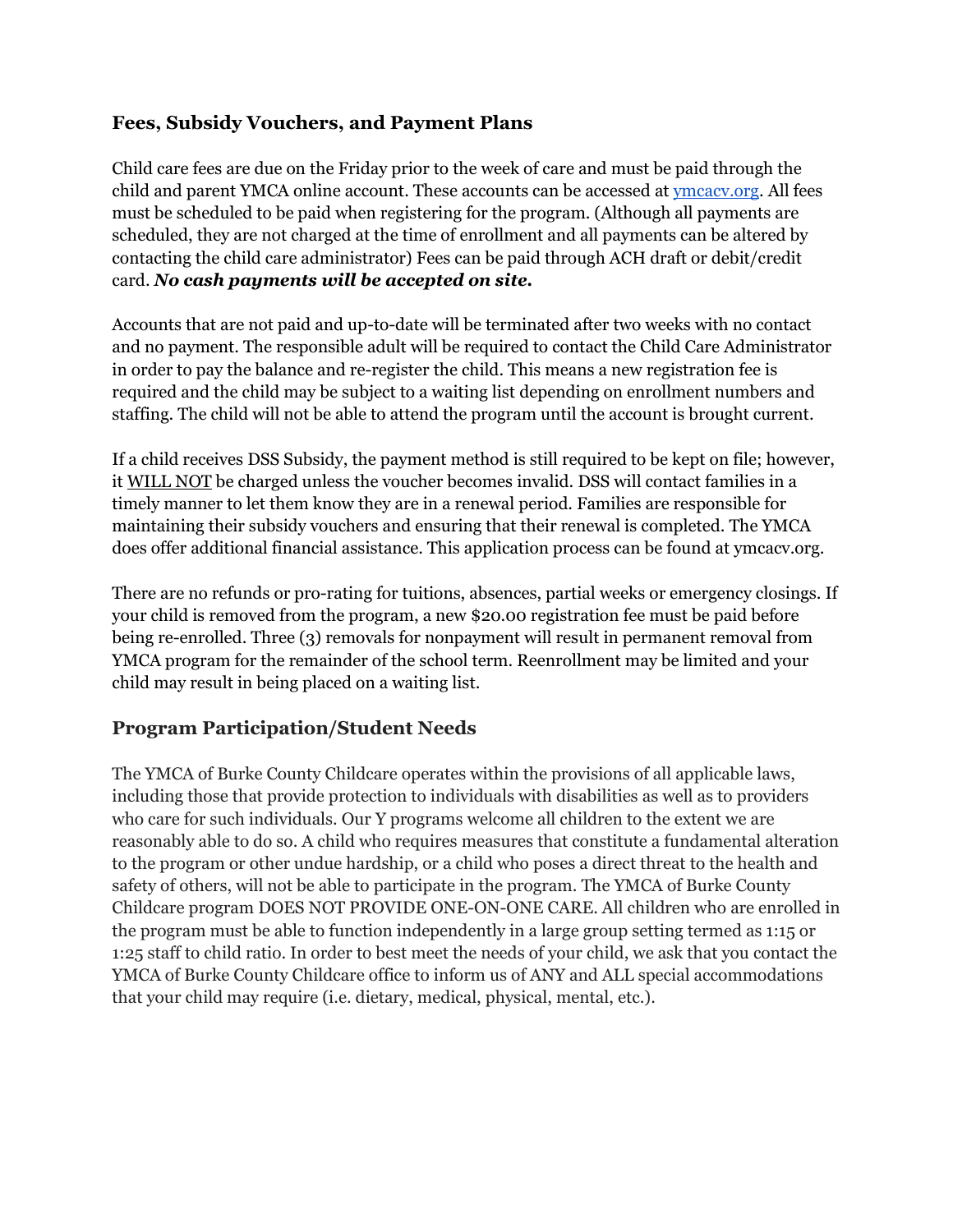### **Fees, Subsidy Vouchers, and Payment Plans**

Child care fees are due on the Friday prior to the week of care and must be paid through the child and parent YMCA online account. These accounts can be accessed at **ymcacy.org**. All fees must be scheduled to be paid when registering for the program. (Although all payments are scheduled, they are not charged at the time of enrollment and all payments can be altered by contacting the child care administrator) Fees can be paid through ACH draft or debit/credit card. *No cash payments will be accepted on site.*

Accounts that are not paid and up-to-date will be terminated after two weeks with no contact and no payment. The responsible adult will be required to contact the Child Care Administrator in order to pay the balance and re-register the child. This means a new registration fee is required and the child may be subject to a waiting list depending on enrollment numbers and staffing. The child will not be able to attend the program until the account is brought current.

If a child receives DSS Subsidy, the payment method is still required to be kept on file; however, it WILL NOT be charged unless the voucher becomes invalid. DSS will contact families in a timely manner to let them know they are in a renewal period. Families are responsible for maintaining their subsidy vouchers and ensuring that their renewal is completed. The YMCA does offer additional financial assistance. This application process can be found at ymcacv.org.

There are no refunds or pro-rating for tuitions, absences, partial weeks or emergency closings. If your child is removed from the program, a new \$20.00 registration fee must be paid before being re-enrolled. Three (3) removals for nonpayment will result in permanent removal from YMCA program for the remainder of the school term. Reenrollment may be limited and your child may result in being placed on a waiting list.

## **Program Participation/Student Needs**

The YMCA of Burke County Childcare operates within the provisions of all applicable laws, including those that provide protection to individuals with disabilities as well as to providers who care for such individuals. Our Y programs welcome all children to the extent we are reasonably able to do so. A child who requires measures that constitute a fundamental alteration to the program or other undue hardship, or a child who poses a direct threat to the health and safety of others, will not be able to participate in the program. The YMCA of Burke County Childcare program DOES NOT PROVIDE ONE-ON-ONE CARE. All children who are enrolled in the program must be able to function independently in a large group setting termed as 1:15 or 1:25 staff to child ratio. In order to best meet the needs of your child, we ask that you contact the YMCA of Burke County Childcare office to inform us of ANY and ALL special accommodations that your child may require (i.e. dietary, medical, physical, mental, etc.).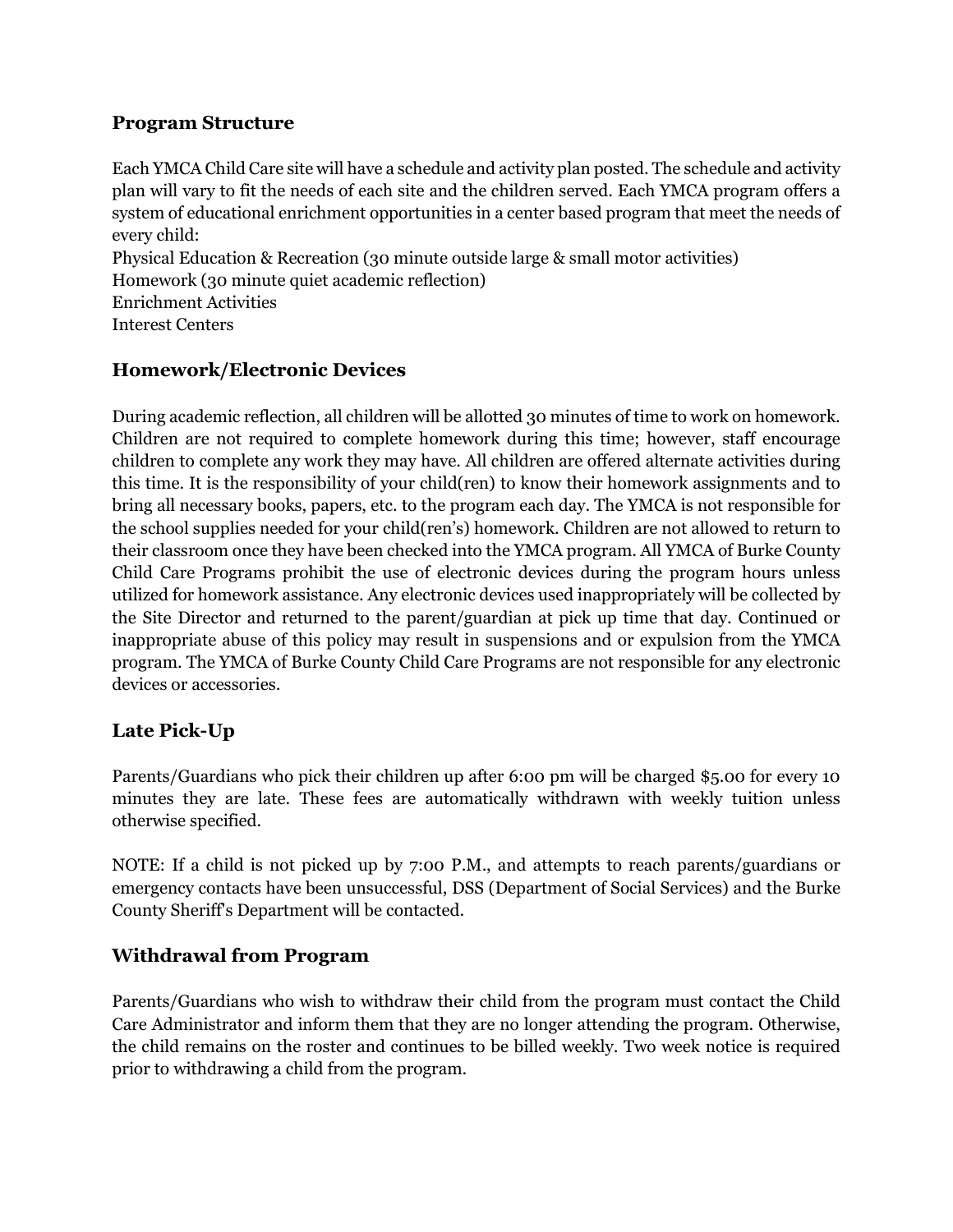### **Program Structure**

Each YMCA Child Care site will have a schedule and activity plan posted. The schedule and activity plan will vary to fit the needs of each site and the children served. Each YMCA program offers a system of educational enrichment opportunities in a center based program that meet the needs of every child:

Physical Education & Recreation (30 minute outside large & small motor activities)

Homework (30 minute quiet academic reflection)

Enrichment Activities Interest Centers

# **Homework/Electronic Devices**

During academic reflection, all children will be allotted 30 minutes of time to work on homework. Children are not required to complete homework during this time; however, staff encourage children to complete any work they may have. All children are offered alternate activities during this time. It is the responsibility of your child(ren) to know their homework assignments and to bring all necessary books, papers, etc. to the program each day. The YMCA is not responsible for the school supplies needed for your child(ren's) homework. Children are not allowed to return to their classroom once they have been checked into the YMCA program. All YMCA of Burke County Child Care Programs prohibit the use of electronic devices during the program hours unless utilized for homework assistance. Any electronic devices used inappropriately will be collected by the Site Director and returned to the parent/guardian at pick up time that day. Continued or inappropriate abuse of this policy may result in suspensions and or expulsion from the YMCA program. The YMCA of Burke County Child Care Programs are not responsible for any electronic devices or accessories.

# **Late Pick-Up**

Parents/Guardians who pick their children up after 6:00 pm will be charged \$5.00 for every 10 minutes they are late. These fees are automatically withdrawn with weekly tuition unless otherwise specified.

NOTE: If a child is not picked up by 7:00 P.M., and attempts to reach parents/guardians or emergency contacts have been unsuccessful, DSS (Department of Social Services) and the Burke County Sheriff's Department will be contacted.

## **Withdrawal from Program**

Parents/Guardians who wish to withdraw their child from the program must contact the Child Care Administrator and inform them that they are no longer attending the program. Otherwise, the child remains on the roster and continues to be billed weekly. Two week notice is required prior to withdrawing a child from the program.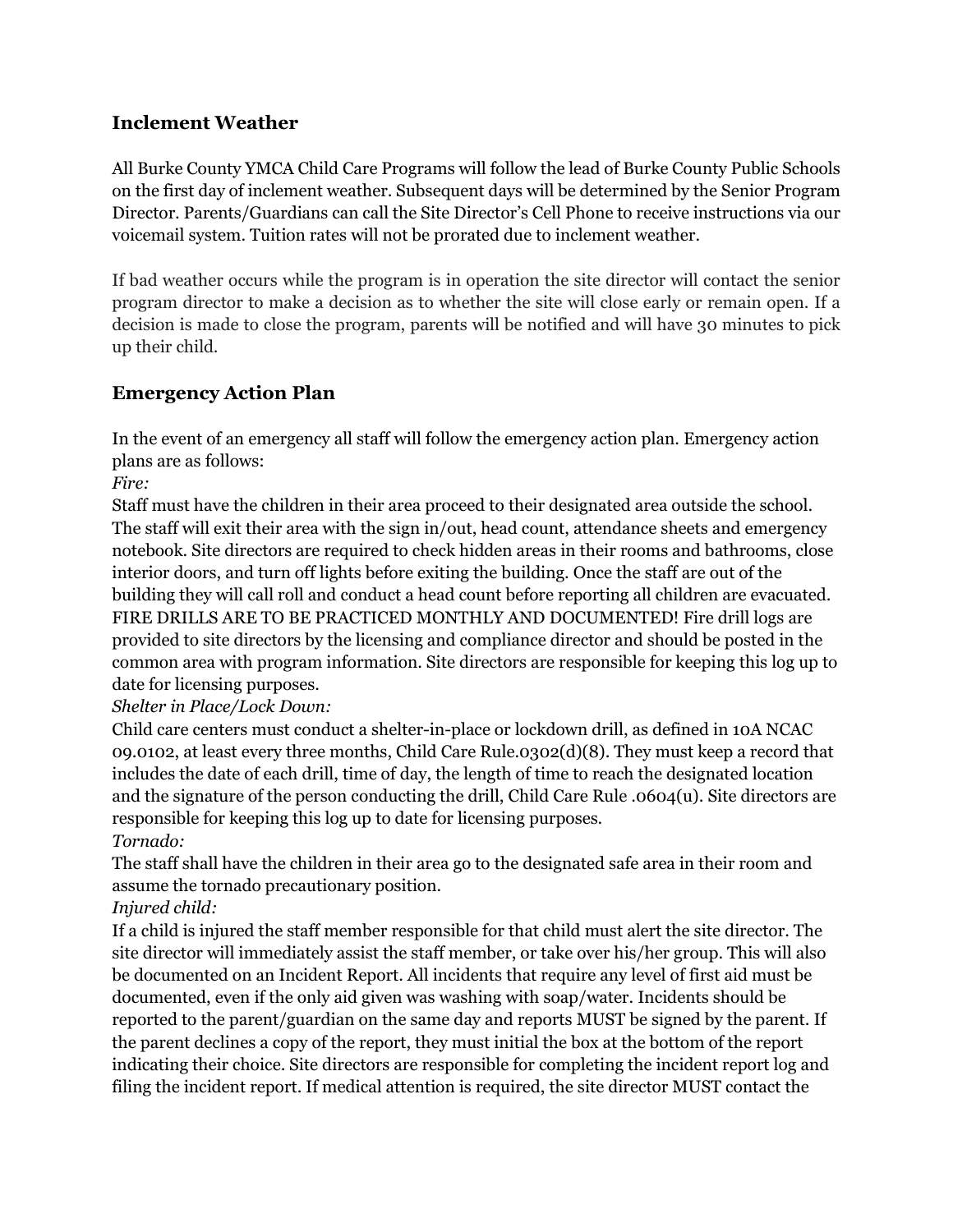## **Inclement Weather**

All Burke County YMCA Child Care Programs will follow the lead of Burke County Public Schools on the first day of inclement weather. Subsequent days will be determined by the Senior Program Director. Parents/Guardians can call the Site Director's Cell Phone to receive instructions via our voicemail system. Tuition rates will not be prorated due to inclement weather.

If bad weather occurs while the program is in operation the site director will contact the senior program director to make a decision as to whether the site will close early or remain open. If a decision is made to close the program, parents will be notified and will have 30 minutes to pick up their child.

# **Emergency Action Plan**

In the event of an emergency all staff will follow the emergency action plan. Emergency action plans are as follows:

*Fire:*

Staff must have the children in their area proceed to their designated area outside the school. The staff will exit their area with the sign in/out, head count, attendance sheets and emergency notebook. Site directors are required to check hidden areas in their rooms and bathrooms, close interior doors, and turn off lights before exiting the building. Once the staff are out of the building they will call roll and conduct a head count before reporting all children are evacuated. FIRE DRILLS ARE TO BE PRACTICED MONTHLY AND DOCUMENTED! Fire drill logs are provided to site directors by the licensing and compliance director and should be posted in the common area with program information. Site directors are responsible for keeping this log up to date for licensing purposes.

## *Shelter in Place/Lock Down:*

Child care centers must conduct a shelter-in-place or lockdown drill, as defined in 10A NCAC 09.0102, at least every three months, Child Care Rule.0302(d)(8). They must keep a record that includes the date of each drill, time of day, the length of time to reach the designated location and the signature of the person conducting the drill, Child Care Rule .0604(u). Site directors are responsible for keeping this log up to date for licensing purposes. *Tornado:*

The staff shall have the children in their area go to the designated safe area in their room and assume the tornado precautionary position.

## *Injured child:*

If a child is injured the staff member responsible for that child must alert the site director. The site director will immediately assist the staff member, or take over his/her group. This will also be documented on an Incident Report. All incidents that require any level of first aid must be documented, even if the only aid given was washing with soap/water. Incidents should be reported to the parent/guardian on the same day and reports MUST be signed by the parent. If the parent declines a copy of the report, they must initial the box at the bottom of the report indicating their choice. Site directors are responsible for completing the incident report log and filing the incident report. If medical attention is required, the site director MUST contact the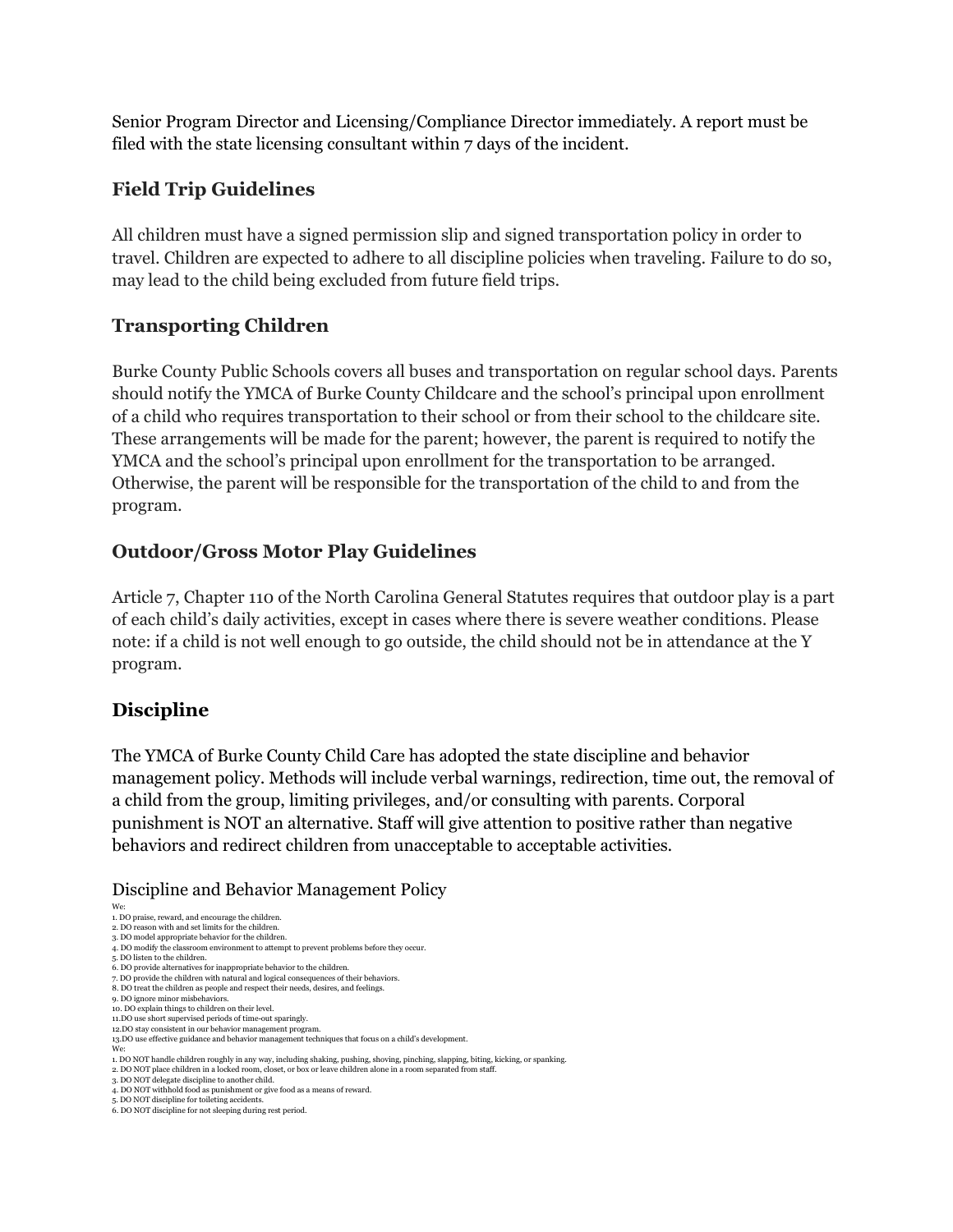Senior Program Director and Licensing/Compliance Director immediately. A report must be filed with the state licensing consultant within 7 days of the incident.

# **Field Trip Guidelines**

All children must have a signed permission slip and signed transportation policy in order to travel. Children are expected to adhere to all discipline policies when traveling. Failure to do so, may lead to the child being excluded from future field trips.

# **Transporting Children**

Burke County Public Schools covers all buses and transportation on regular school days. Parents should notify the YMCA of Burke County Childcare and the school's principal upon enrollment of a child who requires transportation to their school or from their school to the childcare site. These arrangements will be made for the parent; however, the parent is required to notify the YMCA and the school's principal upon enrollment for the transportation to be arranged. Otherwise, the parent will be responsible for the transportation of the child to and from the program.

# **Outdoor/Gross Motor Play Guidelines**

Article 7, Chapter 110 of the North Carolina General Statutes requires that outdoor play is a part of each child's daily activities, except in cases where there is severe weather conditions. Please note: if a child is not well enough to go outside, the child should not be in attendance at the Y program.

# **Discipline**

The YMCA of Burke County Child Care has adopted the state discipline and behavior management policy. Methods will include verbal warnings, redirection, time out, the removal of a child from the group, limiting privileges, and/or consulting with parents. Corporal punishment is NOT an alternative. Staff will give attention to positive rather than negative behaviors and redirect children from unacceptable to acceptable activities.

### Discipline and Behavior Management Policy

- 2. DO reason with and set limits for the children.
- 3. DO model appropriate behavior for the children.
- 4. DO modify the classroom environment to attempt to prevent problems before they occur. 5. DO listen to the children.
- 
- 6. DO provide alternatives for inappropriate behavior to the children.<br>7. DO provide the children with natural and logical consequences of their behaviors.<br>8. DO treat the children as people and respect their needs, desire
- 
- 10. DO explain things to children on their level.
- 11.DO use short supervised periods of time-out sparingly.
- 

- 2. DO NOT place children in a locked room, closet, or box or leave children alone in a room separated from staff.
- 3. DO NOT delegate discipline to another child.

We: 1. DO praise, reward, and encourage the children.

<sup>12.</sup>DO stay consistent in our behavior management program. 13.DO use effective guidance and behavior management techniques that focus on a child's development.

We: 1. DO NOT handle children roughly in any way, including shaking, pushing, shoving, pinching, slapping, biting, kicking, or spanking.

<sup>4.</sup> DO NOT withhold food as punishment or give food as a means of reward. 5. DO NOT discipline for toileting accidents.

<sup>6.</sup> DO NOT discipline for not sleeping during rest period.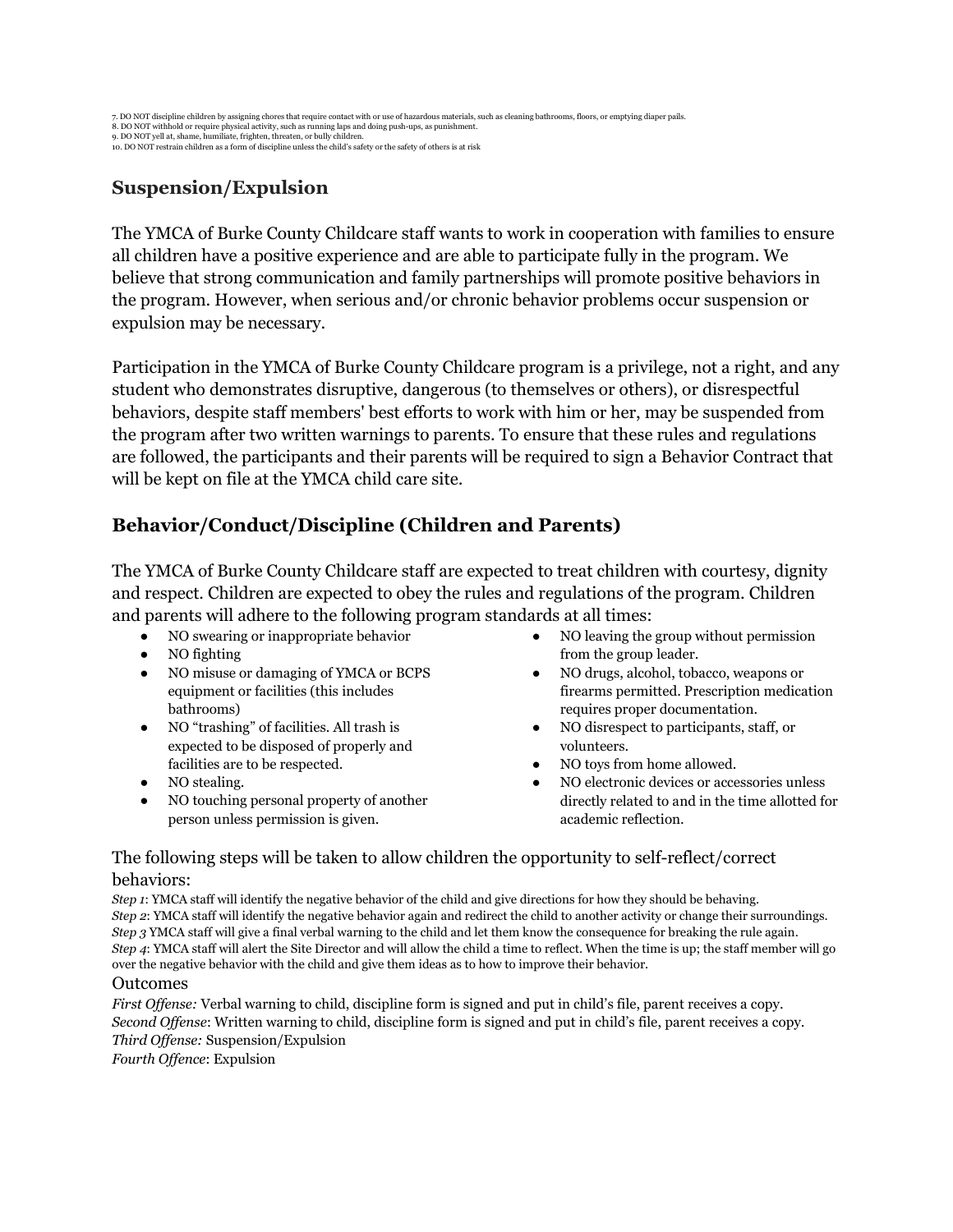# **Suspension/Expulsion**

The YMCA of Burke County Childcare staff wants to work in cooperation with families to ensure all children have a positive experience and are able to participate fully in the program. We believe that strong communication and family partnerships will promote positive behaviors in the program. However, when serious and/or chronic behavior problems occur suspension or expulsion may be necessary.

Participation in the YMCA of Burke County Childcare program is a privilege, not a right, and any student who demonstrates disruptive, dangerous (to themselves or others), or disrespectful behaviors, despite staff members' best efforts to work with him or her, may be suspended from the program after two written warnings to parents. To ensure that these rules and regulations are followed, the participants and their parents will be required to sign a Behavior Contract that will be kept on file at the YMCA child care site.

# **Behavior/Conduct/Discipline (Children and Parents)**

The YMCA of Burke County Childcare staff are expected to treat children with courtesy, dignity and respect. Children are expected to obey the rules and regulations of the program. Children and parents will adhere to the following program standards at all times:

- NO swearing or inappropriate behavior
- NO fighting
- NO misuse or damaging of YMCA or BCPS equipment or facilities (this includes bathrooms)
- NO "trashing" of facilities. All trash is expected to be disposed of properly and facilities are to be respected.
- NO stealing.
- NO touching personal property of another person unless permission is given.
- NO leaving the group without permission from the group leader.
- NO drugs, alcohol, tobacco, weapons or firearms permitted. Prescription medication requires proper documentation.
- NO disrespect to participants, staff, or volunteers.
- NO toys from home allowed.
- NO electronic devices or accessories unless directly related to and in the time allotted for academic reflection.

### The following steps will be taken to allow children the opportunity to self-reflect/correct behaviors:

*Step 1*: YMCA staff will identify the negative behavior of the child and give directions for how they should be behaving. *Step 2*: YMCA staff will identify the negative behavior again and redirect the child to another activity or change their surroundings. *Step 3* YMCA staff will give a final verbal warning to the child and let them know the consequence for breaking the rule again. *Step 4*: YMCA staff will alert the Site Director and will allow the child a time to reflect. When the time is up; the staff member will go over the negative behavior with the child and give them ideas as to how to improve their behavior.

#### Outcomes

*First Offense:* Verbal warning to child, discipline form is signed and put in child's file, parent receives a copy. *Second Offense*: Written warning to child, discipline form is signed and put in child's file, parent receives a copy. *Third Offense:* Suspension/Expulsion

*Fourth Offence*: Expulsion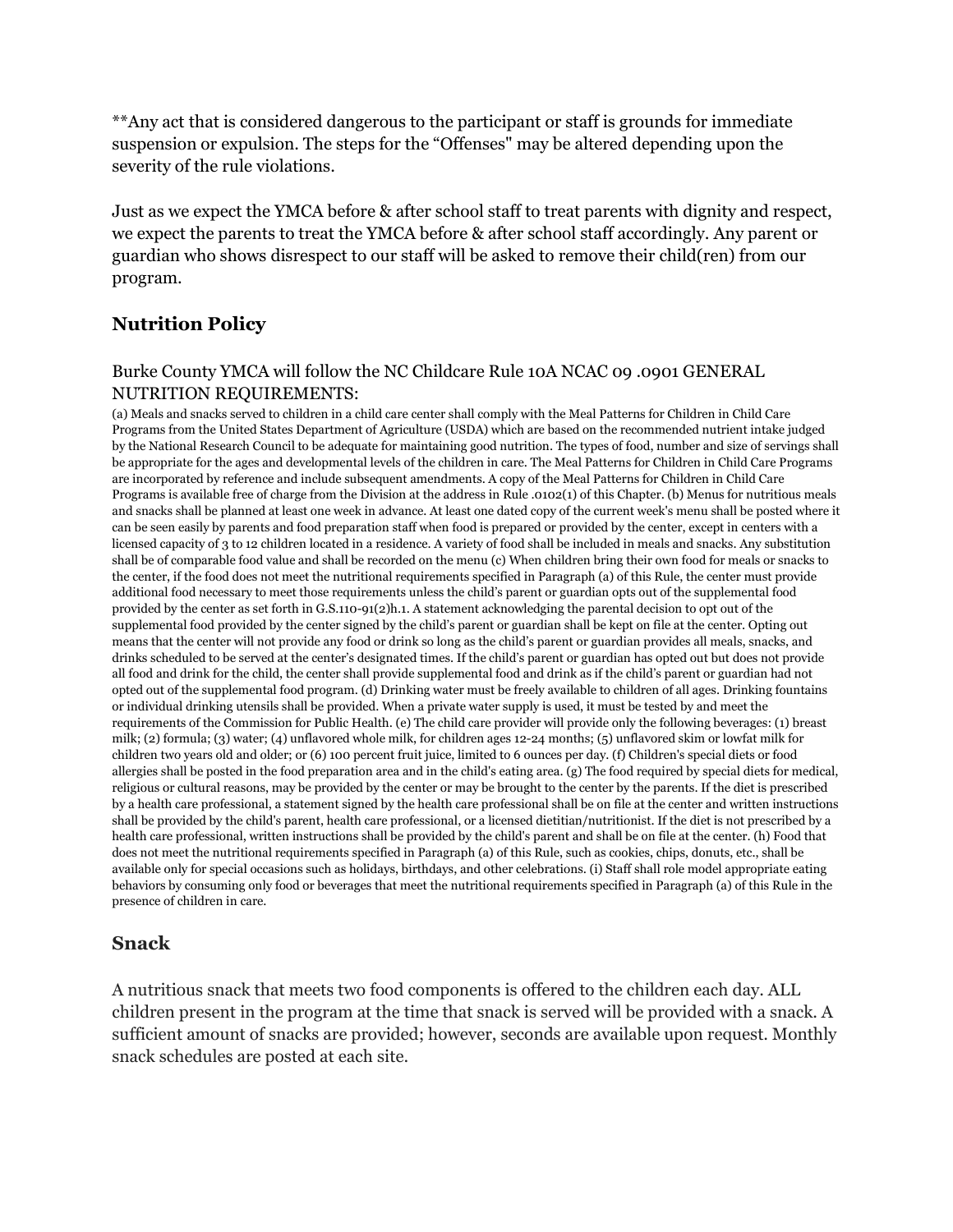\*\*Any act that is considered dangerous to the participant or staff is grounds for immediate suspension or expulsion. The steps for the "Offenses" may be altered depending upon the severity of the rule violations.

Just as we expect the YMCA before & after school staff to treat parents with dignity and respect, we expect the parents to treat the YMCA before & after school staff accordingly. Any parent or guardian who shows disrespect to our staff will be asked to remove their child(ren) from our program.

## **Nutrition Policy**

#### Burke County YMCA will follow the NC Childcare Rule 10A NCAC 09 .0901 GENERAL NUTRITION REQUIREMENTS:

(a) Meals and snacks served to children in a child care center shall comply with the Meal Patterns for Children in Child Care Programs from the United States Department of Agriculture (USDA) which are based on the recommended nutrient intake judged by the National Research Council to be adequate for maintaining good nutrition. The types of food, number and size of servings shall be appropriate for the ages and developmental levels of the children in care. The Meal Patterns for Children in Child Care Programs are incorporated by reference and include subsequent amendments. A copy of the Meal Patterns for Children in Child Care Programs is available free of charge from the Division at the address in Rule .0102(1) of this Chapter. (b) Menus for nutritious meals and snacks shall be planned at least one week in advance. At least one dated copy of the current week's menu shall be posted where it can be seen easily by parents and food preparation staff when food is prepared or provided by the center, except in centers with a licensed capacity of 3 to 12 children located in a residence. A variety of food shall be included in meals and snacks. Any substitution shall be of comparable food value and shall be recorded on the menu (c) When children bring their own food for meals or snacks to the center, if the food does not meet the nutritional requirements specified in Paragraph (a) of this Rule, the center must provide additional food necessary to meet those requirements unless the child's parent or guardian opts out of the supplemental food provided by the center as set forth in G.S.110-91(2)h.1. A statement acknowledging the parental decision to opt out of the supplemental food provided by the center signed by the child's parent or guardian shall be kept on file at the center. Opting out means that the center will not provide any food or drink so long as the child's parent or guardian provides all meals, snacks, and drinks scheduled to be served at the center's designated times. If the child's parent or guardian has opted out but does not provide all food and drink for the child, the center shall provide supplemental food and drink as if the child's parent or guardian had not opted out of the supplemental food program. (d) Drinking water must be freely available to children of all ages. Drinking fountains or individual drinking utensils shall be provided. When a private water supply is used, it must be tested by and meet the requirements of the Commission for Public Health. (e) The child care provider will provide only the following beverages: (1) breast milk; (2) formula; (3) water; (4) unflavored whole milk, for children ages 12-24 months; (5) unflavored skim or lowfat milk for children two years old and older; or (6) 100 percent fruit juice, limited to 6 ounces per day. (f) Children's special diets or food allergies shall be posted in the food preparation area and in the child's eating area. (g) The food required by special diets for medical, religious or cultural reasons, may be provided by the center or may be brought to the center by the parents. If the diet is prescribed by a health care professional, a statement signed by the health care professional shall be on file at the center and written instructions shall be provided by the child's parent, health care professional, or a licensed dietitian/nutritionist. If the diet is not prescribed by a health care professional, written instructions shall be provided by the child's parent and shall be on file at the center. (h) Food that does not meet the nutritional requirements specified in Paragraph (a) of this Rule, such as cookies, chips, donuts, etc., shall be available only for special occasions such as holidays, birthdays, and other celebrations. (i) Staff shall role model appropriate eating behaviors by consuming only food or beverages that meet the nutritional requirements specified in Paragraph (a) of this Rule in the presence of children in care.

#### **Snack**

A nutritious snack that meets two food components is offered to the children each day. ALL children present in the program at the time that snack is served will be provided with a snack. A sufficient amount of snacks are provided; however, seconds are available upon request. Monthly snack schedules are posted at each site.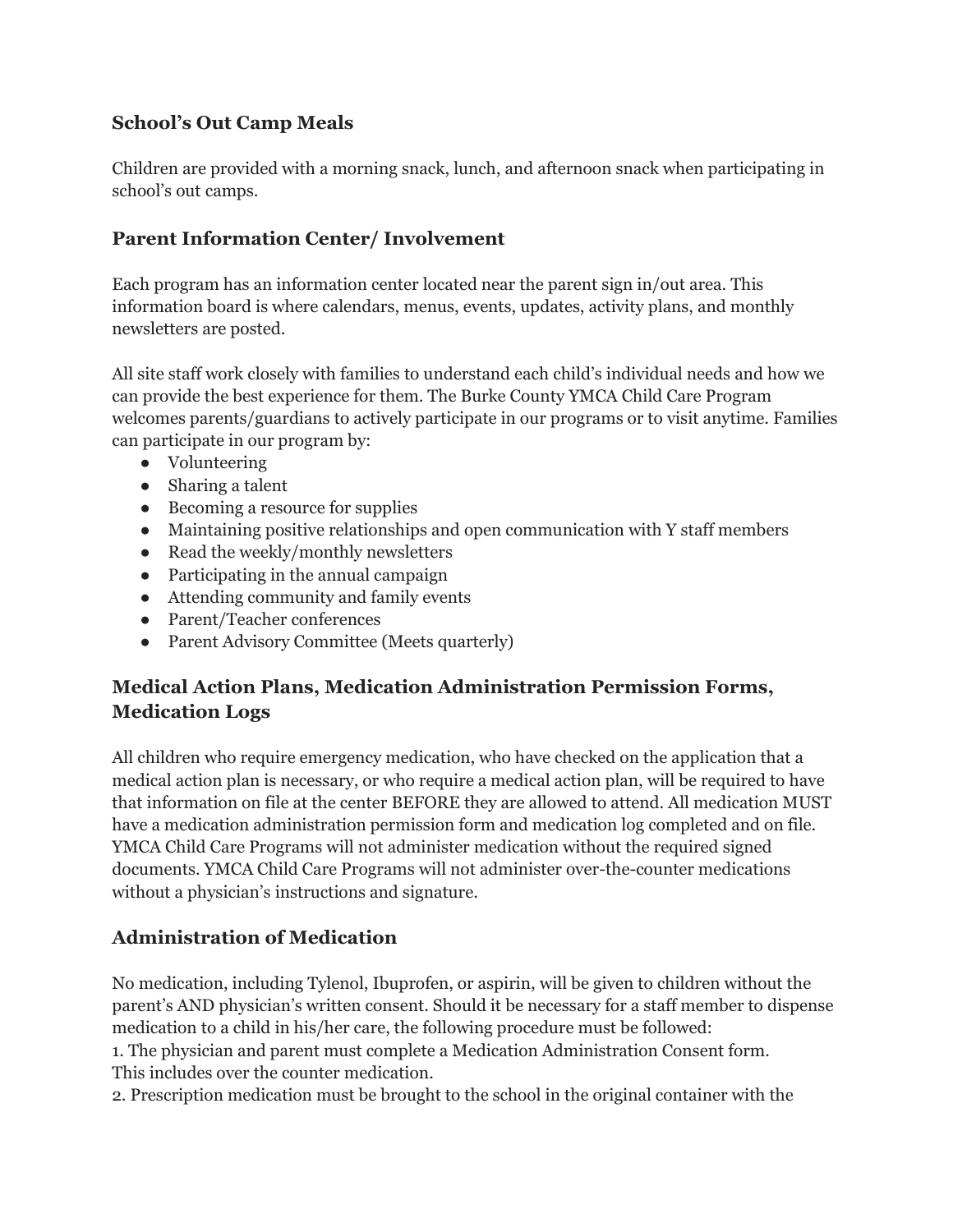# **School's Out Camp Meals**

Children are provided with a morning snack, lunch, and afternoon snack when participating in school's out camps.

# **Parent Information Center/ Involvement**

Each program has an information center located near the parent sign in/out area. This information board is where calendars, menus, events, updates, activity plans, and monthly newsletters are posted.

All site staff work closely with families to understand each child's individual needs and how we can provide the best experience for them. The Burke County YMCA Child Care Program welcomes parents/guardians to actively participate in our programs or to visit anytime. Families can participate in our program by:

- Volunteering
- Sharing a talent
- Becoming a resource for supplies
- Maintaining positive relationships and open communication with Y staff members
- Read the weekly/monthly newsletters
- Participating in the annual campaign
- Attending community and family events
- Parent/Teacher conferences
- Parent Advisory Committee (Meets quarterly)

# **Medical Action Plans, Medication Administration Permission Forms, Medication Logs**

All children who require emergency medication, who have checked on the application that a medical action plan is necessary, or who require a medical action plan, will be required to have that information on file at the center BEFORE they are allowed to attend. All medication MUST have a medication administration permission form and medication log completed and on file. YMCA Child Care Programs will not administer medication without the required signed documents. YMCA Child Care Programs will not administer over-the-counter medications without a physician's instructions and signature.

# **Administration of Medication**

No medication, including Tylenol, Ibuprofen, or aspirin, will be given to children without the parent's AND physician's written consent. Should it be necessary for a staff member to dispense medication to a child in his/her care, the following procedure must be followed:

1. The physician and parent must complete a Medication Administration Consent form. This includes over the counter medication.

2. Prescription medication must be brought to the school in the original container with the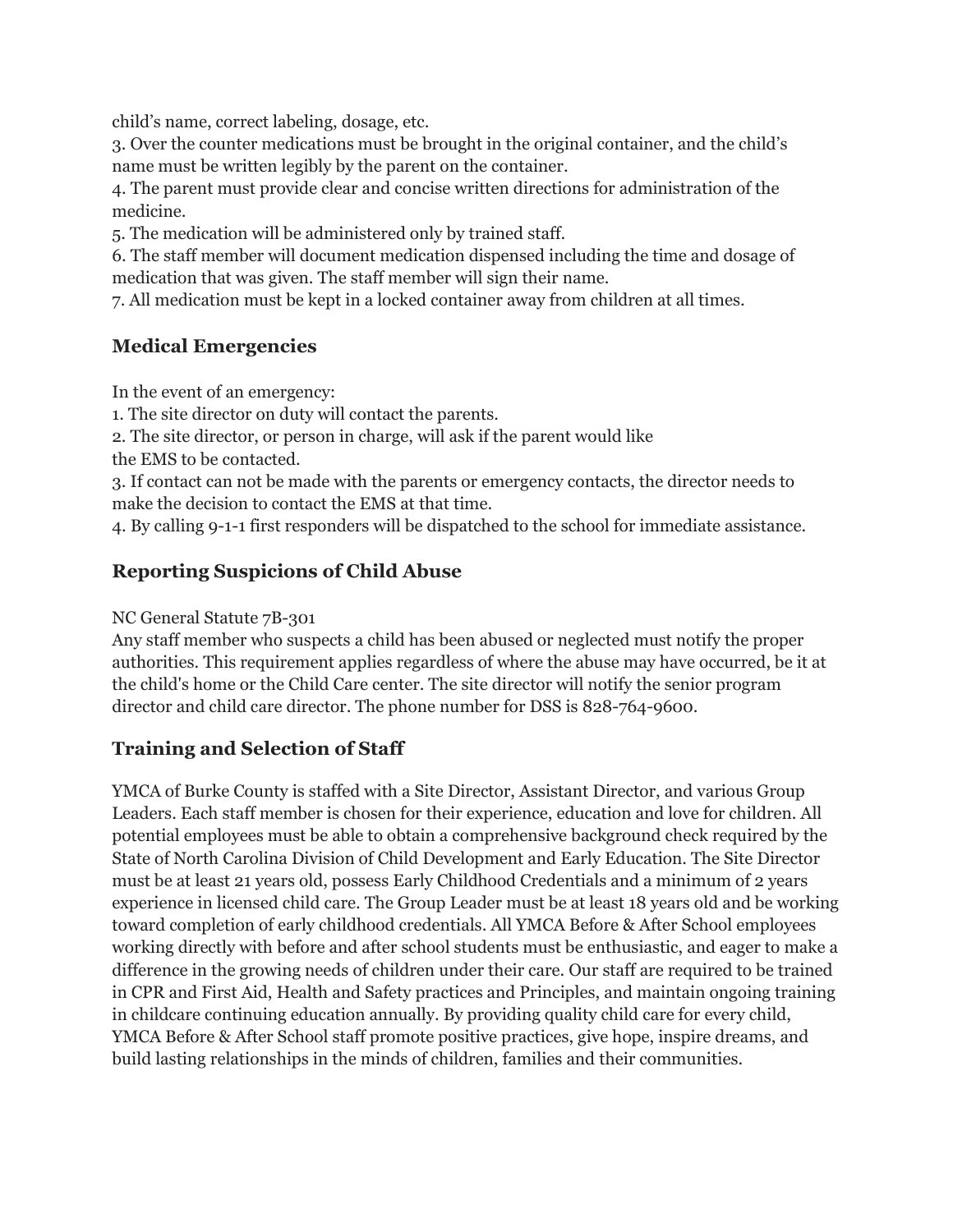child's name, correct labeling, dosage, etc.

3. Over the counter medications must be brought in the original container, and the child's name must be written legibly by the parent on the container.

4. The parent must provide clear and concise written directions for administration of the medicine.

5. The medication will be administered only by trained staff.

6. The staff member will document medication dispensed including the time and dosage of medication that was given. The staff member will sign their name.

7. All medication must be kept in a locked container away from children at all times.

# **Medical Emergencies**

In the event of an emergency:

1. The site director on duty will contact the parents.

2. The site director, or person in charge, will ask if the parent would like

the EMS to be contacted.

3. If contact can not be made with the parents or emergency contacts, the director needs to make the decision to contact the EMS at that time.

4. By calling 9-1-1 first responders will be dispatched to the school for immediate assistance.

# **Reporting Suspicions of Child Abuse**

NC General Statute 7B-301

Any staff member who suspects a child has been abused or neglected must notify the proper authorities. This requirement applies regardless of where the abuse may have occurred, be it at the child's home or the Child Care center. The site director will notify the senior program director and child care director. The phone number for DSS is 828-764-9600.

# **Training and Selection of Staff**

YMCA of Burke County is staffed with a Site Director, Assistant Director, and various Group Leaders. Each staff member is chosen for their experience, education and love for children. All potential employees must be able to obtain a comprehensive background check required by the State of North Carolina Division of Child Development and Early Education. The Site Director must be at least 21 years old, possess Early Childhood Credentials and a minimum of 2 years experience in licensed child care. The Group Leader must be at least 18 years old and be working toward completion of early childhood credentials. All YMCA Before & After School employees working directly with before and after school students must be enthusiastic, and eager to make a difference in the growing needs of children under their care. Our staff are required to be trained in CPR and First Aid, Health and Safety practices and Principles, and maintain ongoing training in childcare continuing education annually. By providing quality child care for every child, YMCA Before & After School staff promote positive practices, give hope, inspire dreams, and build lasting relationships in the minds of children, families and their communities.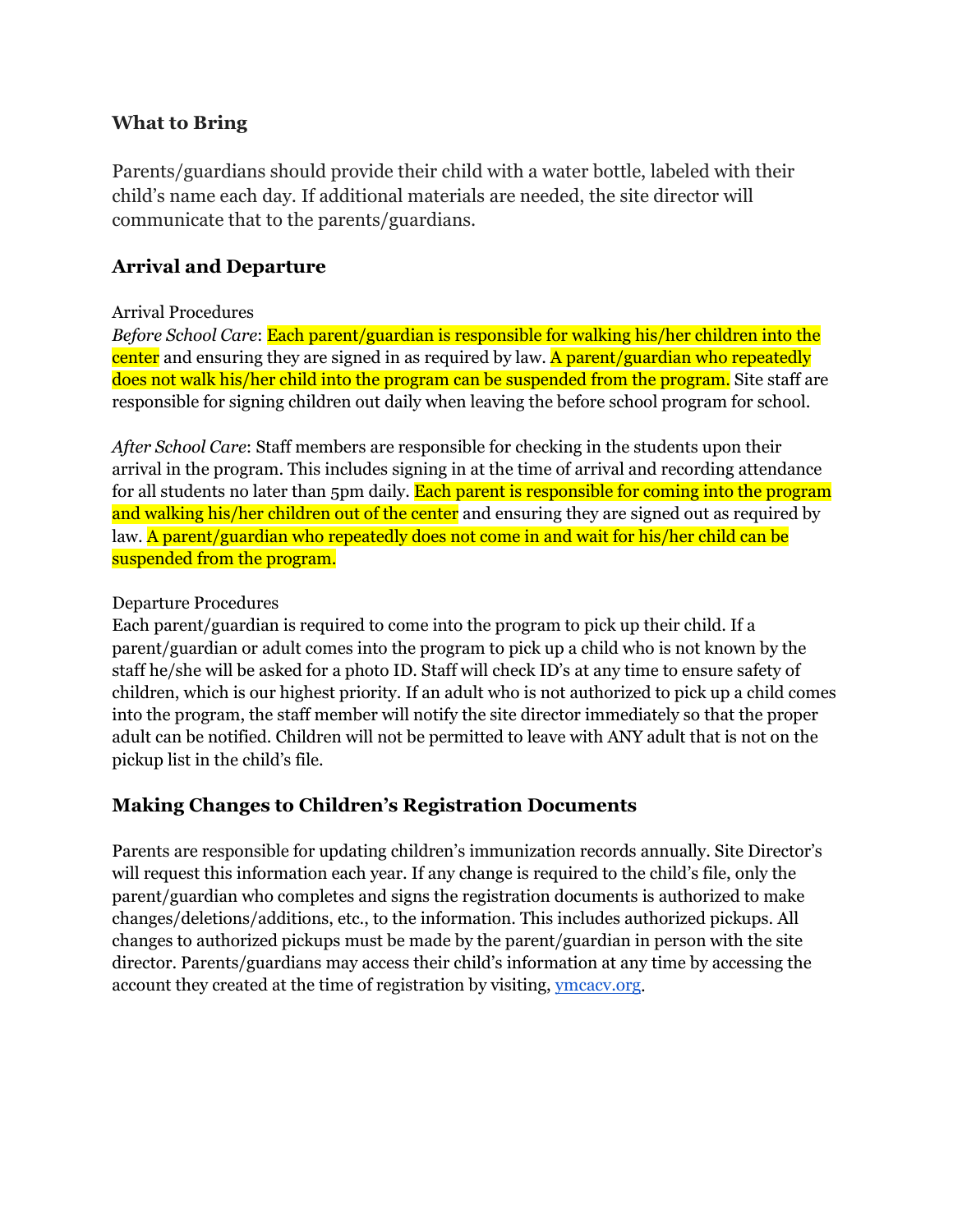### **What to Bring**

Parents/guardians should provide their child with a water bottle, labeled with their child's name each day. If additional materials are needed, the site director will communicate that to the parents/guardians.

## **Arrival and Departure**

#### Arrival Procedures

*Before School Care*: Each parent/guardian is responsible for walking his/her children into the center and ensuring they are signed in as required by law. A parent/guardian who repeatedly does not walk his/her child into the program can be suspended from the program. Site staff are responsible for signing children out daily when leaving the before school program for school.

*After School Care*: Staff members are responsible for checking in the students upon their arrival in the program. This includes signing in at the time of arrival and recording attendance for all students no later than 5pm daily. Each parent is responsible for coming into the program and walking his/her children out of the center and ensuring they are signed out as required by law. A parent/guardian who repeatedly does not come in and wait for his/her child can be suspended from the program.

#### Departure Procedures

Each parent/guardian is required to come into the program to pick up their child. If a parent/guardian or adult comes into the program to pick up a child who is not known by the staff he/she will be asked for a photo ID. Staff will check ID's at any time to ensure safety of children, which is our highest priority. If an adult who is not authorized to pick up a child comes into the program, the staff member will notify the site director immediately so that the proper adult can be notified. Children will not be permitted to leave with ANY adult that is not on the pickup list in the child's file.

## **Making Changes to Children's Registration Documents**

Parents are responsible for updating children's immunization records annually. Site Director's will request this information each year. If any change is required to the child's file, only the parent/guardian who completes and signs the registration documents is authorized to make changes/deletions/additions, etc., to the information. This includes authorized pickups. All changes to authorized pickups must be made by the parent/guardian in person with the site director. Parents/guardians may access their child's information at any time by accessing the account they created at the time of registration by visiting, [ymcacv.org.](http://ymcacv.org/)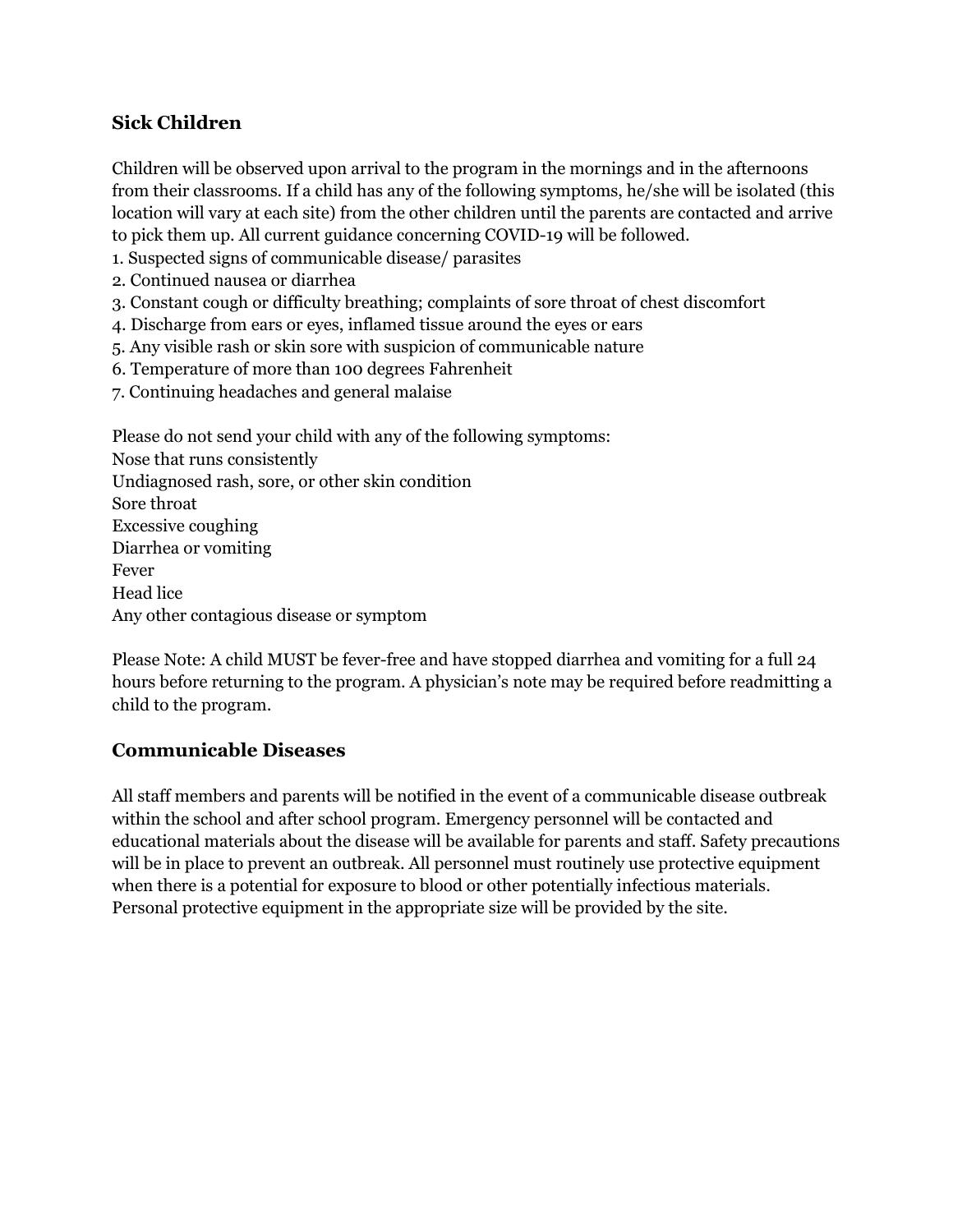# **Sick Children**

Children will be observed upon arrival to the program in the mornings and in the afternoons from their classrooms. If a child has any of the following symptoms, he/she will be isolated (this location will vary at each site) from the other children until the parents are contacted and arrive to pick them up. All current guidance concerning COVID-19 will be followed.

- 1. Suspected signs of communicable disease/ parasites
- 2. Continued nausea or diarrhea
- 3. Constant cough or difficulty breathing; complaints of sore throat of chest discomfort
- 4. Discharge from ears or eyes, inflamed tissue around the eyes or ears
- 5. Any visible rash or skin sore with suspicion of communicable nature
- 6. Temperature of more than 100 degrees Fahrenheit
- 7. Continuing headaches and general malaise

Please do not send your child with any of the following symptoms: Nose that runs consistently Undiagnosed rash, sore, or other skin condition Sore throat Excessive coughing Diarrhea or vomiting Fever Head lice Any other contagious disease or symptom

Please Note: A child MUST be fever-free and have stopped diarrhea and vomiting for a full 24 hours before returning to the program. A physician's note may be required before readmitting a child to the program.

## **Communicable Diseases**

All staff members and parents will be notified in the event of a communicable disease outbreak within the school and after school program. Emergency personnel will be contacted and educational materials about the disease will be available for parents and staff. Safety precautions will be in place to prevent an outbreak. All personnel must routinely use protective equipment when there is a potential for exposure to blood or other potentially infectious materials. Personal protective equipment in the appropriate size will be provided by the site.